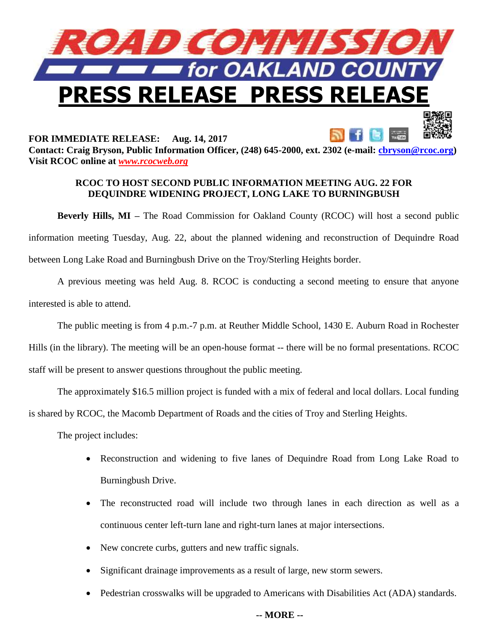

**FOR IMMEDIATE RELEASE: Aug. 14, 2017 Contact: Craig Bryson, Public Information Officer, (248) 645-2000, ext. 2302 (e-mail: [cbryson@rcoc.org\)](mailto:cbryson@rcoc.org) Visit RCOC online at** *[www.rcocweb.org](http://www.rcocweb.org/)*

## **RCOC TO HOST SECOND PUBLIC INFORMATION MEETING AUG. 22 FOR DEQUINDRE WIDENING PROJECT, LONG LAKE TO BURNINGBUSH**

**Beverly Hills, MI** – The Road Commission for Oakland County (RCOC) will host a second public information meeting Tuesday, Aug. 22, about the planned widening and reconstruction of Dequindre Road between Long Lake Road and Burningbush Drive on the Troy/Sterling Heights border.

A previous meeting was held Aug. 8. RCOC is conducting a second meeting to ensure that anyone interested is able to attend.

The public meeting is from 4 p.m.-7 p.m. at Reuther Middle School, 1430 E. Auburn Road in Rochester

Hills (in the library). The meeting will be an open-house format -- there will be no formal presentations. RCOC

staff will be present to answer questions throughout the public meeting.

The approximately \$16.5 million project is funded with a mix of federal and local dollars. Local funding is shared by RCOC, the Macomb Department of Roads and the cities of Troy and Sterling Heights.

The project includes:

- Reconstruction and widening to five lanes of Dequindre Road from Long Lake Road to Burningbush Drive.
- The reconstructed road will include two through lanes in each direction as well as a continuous center left-turn lane and right-turn lanes at major intersections.
- New concrete curbs, gutters and new traffic signals.
- Significant drainage improvements as a result of large, new storm sewers.
- Pedestrian crosswalks will be upgraded to Americans with Disabilities Act (ADA) standards.

## **-- MORE --**